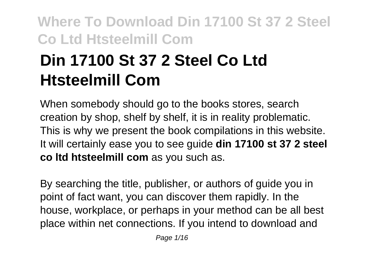# **Din 17100 St 37 2 Steel Co Ltd Htsteelmill Com**

When somebody should go to the books stores, search creation by shop, shelf by shelf, it is in reality problematic. This is why we present the book compilations in this website. It will certainly ease you to see guide **din 17100 st 37 2 steel co ltd htsteelmill com** as you such as.

By searching the title, publisher, or authors of guide you in point of fact want, you can discover them rapidly. In the house, workplace, or perhaps in your method can be all best place within net connections. If you intend to download and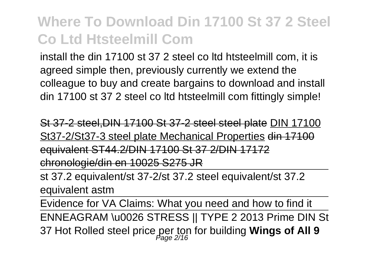install the din 17100 st 37 2 steel co ltd htsteelmill com, it is agreed simple then, previously currently we extend the colleague to buy and create bargains to download and install din 17100 st 37 2 steel co ltd htsteelmill com fittingly simple!

St 37-2 steel,DIN 17100 St 37-2 steel steel plate DIN 17100 St37-2/St37-3 steel plate Mechanical Properties din 17100 equivalent ST44.2/DIN 17100 St 37 2/DIN 17172 chronologie/din en 10025 S275 JR

st 37.2 equivalent/st 37-2/st 37.2 steel equivalent/st 37.2 equivalent astm

Evidence for VA Claims: What you need and how to find it ENNEAGRAM \u0026 STRESS || TYPE 2 2013 Prime DIN St 37 Hot Rolled steel price per ton for building **Wings of All 9** Page 2/16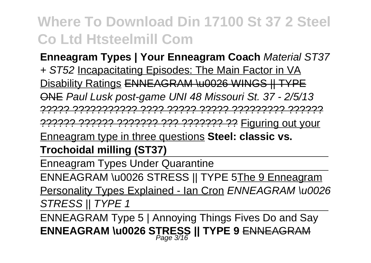**Enneagram Types | Your Enneagram Coach** Material ST37 + ST52 Incapacitating Episodes: The Main Factor in VA Disability Ratings ENNEAGRAM \u0026 WINGS || TYPE ONE Paul Lusk post-game UNI 48 Missouri St. 37 - 2/5/13 ????? ??????????? ???? ????? ????? ????????? ??????

?????? ?????? ??????? ??? ??????? ?? Figuring out your

Enneagram type in three questions **Steel: classic vs.**

**Trochoidal milling (ST37)**

Enneagram Types Under Quarantine

ENNEAGRAM \u0026 STRESS || TYPE 5The 9 Enneagram

Personality Types Explained - Ian Cron ENNEAGRAM \u0026 STRESS II TYPE 1

ENNEAGRAM Type 5 | Annoying Things Fives Do and Say **ENNEAGRAM \u0026 STRESS || TYPE 9** ENNEAGRAM Page 3/16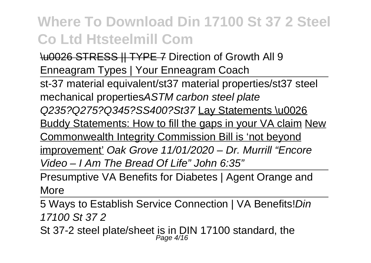\u0026 STRESS || TYPE 7 Direction of Growth All 9 Enneagram Types | Your Enneagram Coach

st-37 material equivalent/st37 material properties/st37 steel mechanical propertiesASTM carbon steel plate Q235?Q275?Q345?SS400?St37 Lay Statements \u0026 Buddy Statements: How to fill the gaps in your VA claim New Commonwealth Integrity Commission Bill is 'not beyond improvement' Oak Grove 11/01/2020 – Dr. Murrill "Encore Video – I Am The Bread Of Life" John 6:35"

Presumptive VA Benefits for Diabetes | Agent Orange and **More** 

5 Ways to Establish Service Connection | VA Benefits!Din 17100 St 37 2

St 37-2 steel plate/sheet is in DIN 17100 standard, the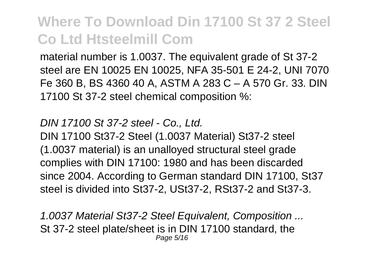material number is 1.0037. The equivalent grade of St 37-2 steel are EN 10025 EN 10025, NFA 35-501 E 24-2, UNI 7070 Fe 360 B, BS 4360 40 A, ASTM A 283 C – A 570 Gr. 33. DIN 17100 St 37-2 steel chemical composition %:

DIN 17100 St 37-2 steel - Co., Ltd. DIN 17100 St37-2 Steel (1.0037 Material) St37-2 steel (1.0037 material) is an unalloyed structural steel grade complies with DIN 17100: 1980 and has been discarded since 2004. According to German standard DIN 17100, St37 steel is divided into St37-2, USt37-2, RSt37-2 and St37-3.

1.0037 Material St37-2 Steel Equivalent, Composition ... St 37-2 steel plate/sheet is in DIN 17100 standard, the Page 5/16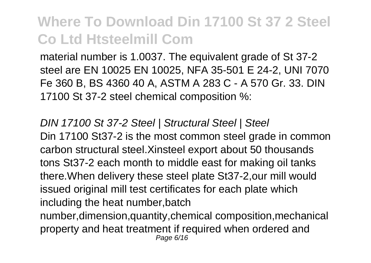material number is 1.0037. The equivalent grade of St 37-2 steel are EN 10025 EN 10025, NFA 35-501 E 24-2, UNI 7070 Fe 360 B, BS 4360 40 A, ASTM A 283 C - A 570 Gr. 33. DIN 17100 St 37-2 steel chemical composition %:

DIN 17100 St 37-2 Steel | Structural Steel | Steel Din 17100 St37-2 is the most common steel grade in common carbon structural steel.Xinsteel export about 50 thousands tons St37-2 each month to middle east for making oil tanks there.When delivery these steel plate St37-2,our mill would issued original mill test certificates for each plate which including the heat number,batch number,dimension,quantity,chemical composition,mechanical

property and heat treatment if required when ordered and Page 6/16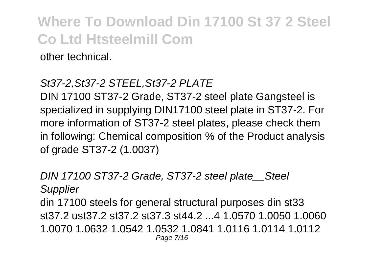other technical.

#### St37-2,St37-2 STEEL,St37-2 PLATE

DIN 17100 ST37-2 Grade, ST37-2 steel plate Gangsteel is specialized in supplying DIN17100 steel plate in ST37-2. For more information of ST37-2 steel plates, please check them in following: Chemical composition % of the Product analysis of grade ST37-2 (1.0037)

DIN 17100 ST37-2 Grade, ST37-2 steel plate\_\_Steel **Supplier** din 17100 steels for general structural purposes din st33 st37.2 ust37.2 st37.2 st37.3 st44.2 ...4 1.0570.1 0050.1 0060 1.0070 1.0632 1.0542 1.0532 1.0841 1.0116 1.0114 1.0112 Page 7/16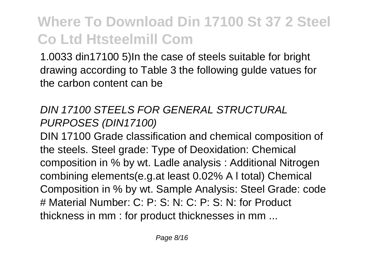1.0033 din17100 5)In the case of steels suitable for bright drawing according to Table 3 the following gulde vatues for the carbon content can be

#### DIN 17100 STEELS FOR GENERAL STRUCTURAL PURPOSES (DIN17100)

DIN 17100 Grade classification and chemical composition of the steels. Steel grade: Type of Deoxidation: Chemical composition in % by wt. Ladle analysis : Additional Nitrogen combining elements(e.g.at least 0.02% A l total) Chemical Composition in % by wt. Sample Analysis: Steel Grade: code # Material Number: C: P: S: N: C: P: S: N: for Product thickness in mm : for product thicknesses in mm ...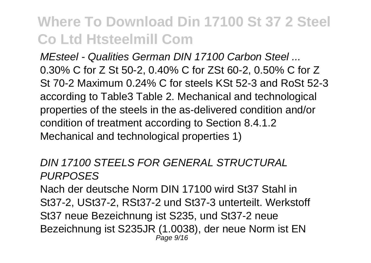MEsteel - Qualities German DIN 17100 Carbon Steel 0.30% C for Z St 50-2, 0.40% C for ZSt 60-2, 0.50% C for Z St 70-2 Maximum 0.24% C for steels KSt 52-3 and RoSt 52-3 according to Table3 Table 2. Mechanical and technological properties of the steels in the as-delivered condition and/or condition of treatment according to Section 8.4.1.2 Mechanical and technological properties 1)

#### DIN 17100 STEELS FOR GENERAL STRUCTURAL PURPOSES

Nach der deutsche Norm DIN 17100 wird St37 Stahl in St37-2, USt37-2, RSt37-2 und St37-3 unterteilt. Werkstoff St37 neue Bezeichnung ist S235, und St37-2 neue Bezeichnung ist S235JR (1.0038), der neue Norm ist EN Page 9/16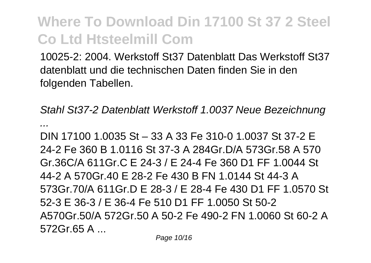10025-2: 2004. Werkstoff St37 Datenblatt Das Werkstoff St37 datenblatt und die technischen Daten finden Sie in den folgenden Tabellen.

Stahl St37-2 Datenblatt Werkstoff 1.0037 Neue Bezeichnung ...

DIN 17100 1.0035 St – 33 A 33 Fe 310-0 1.0037 St 37-2 E 24-2 Fe 360 B 1.0116 St 37-3 A 284Gr.D/A 573Gr.58 A 570 Gr.36C/A 611Gr.C F 24-3 / F 24-4 Fe 360 D1 FF 1.0044 St 44-2 A 570Gr.40 E 28-2 Fe 430 B FN 1.0144 St 44-3 A 573Gr.70/A 611Gr.D F 28-3 / F 28-4 Fe 430 D1 FF 1.0570 St. 52-3 E 36-3 / E 36-4 Fe 510 D1 FF 1.0050 St 50-2 A570Gr.50/A 572Gr.50 A 50-2 Fe 490-2 FN 1.0060 St 60-2 A 572Gr.65 A ...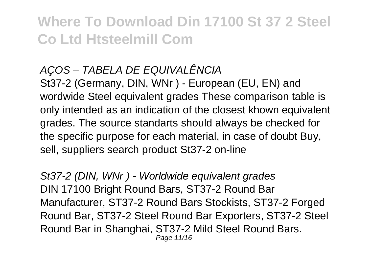#### AÇOS – TABELA DE EQUIVALÊNCIA

St37-2 (Germany, DIN, WNr ) - European (EU, EN) and wordwide Steel equivalent grades These comparison table is only intended as an indication of the closest khown equivalent grades. The source standarts should always be checked for the specific purpose for each material, in case of doubt Buy, sell, suppliers search product St37-2 on-line

St37-2 (DIN, WNr) - Worldwide equivalent grades DIN 17100 Bright Round Bars, ST37-2 Round Bar Manufacturer, ST37-2 Round Bars Stockists, ST37-2 Forged Round Bar, ST37-2 Steel Round Bar Exporters, ST37-2 Steel Round Bar in Shanghai, ST37-2 Mild Steel Round Bars. Page 11/16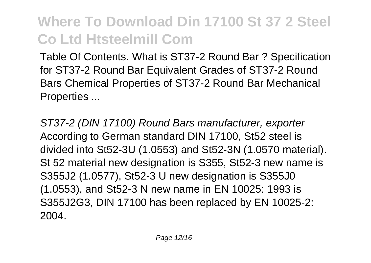Table Of Contents. What is ST37-2 Round Bar ? Specification for ST37-2 Round Bar Equivalent Grades of ST37-2 Round Bars Chemical Properties of ST37-2 Round Bar Mechanical Properties ...

ST37-2 (DIN 17100) Round Bars manufacturer, exporter According to German standard DIN 17100, St52 steel is divided into St52-3U (1.0553) and St52-3N (1.0570 material). St 52 material new designation is S355, St52-3 new name is S355J2 (1.0577), St52-3 U new designation is S355J0 (1.0553), and St52-3 N new name in EN 10025: 1993 is S355J2G3, DIN 17100 has been replaced by EN 10025-2: 2004.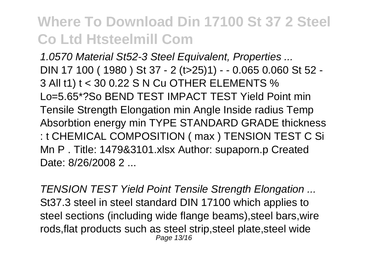1.0570 Material St52-3 Steel Equivalent, Properties ... DIN 17 100 ( 1980 ) St 37 - 2 (t>25)1) - - 0.065 0.060 St 52 - 3 All t1) t < 30 0.22 S N Cu OTHER ELEMENTS % Lo=5.65\*?So BEND TEST IMPACT TEST Yield Point min Tensile Strength Elongation min Angle Inside radius Temp Absorbtion energy min TYPE STANDARD GRADE thickness : t CHEMICAL COMPOSITION ( max ) TENSION TEST C Si Mn P . Title: 1479&3101.xlsx Author: supaporn.p Created Date: 8/26/2008 2

TENSION TEST Yield Point Tensile Strength Elongation ... St37.3 steel in steel standard DIN 17100 which applies to steel sections (including wide flange beams),steel bars,wire rods,flat products such as steel strip,steel plate,steel wide Page 13/16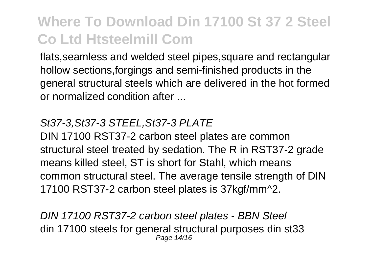flats,seamless and welded steel pipes,square and rectangular hollow sections,forgings and semi-finished products in the general structural steels which are delivered in the hot formed or normalized condition after ...

#### St37-3,St37-3 STEEL,St37-3 PLATE

DIN 17100 RST37-2 carbon steel plates are common structural steel treated by sedation. The R in RST37-2 grade means killed steel, ST is short for Stahl, which means common structural steel. The average tensile strength of DIN 17100 RST37-2 carbon steel plates is 37kgf/mm^2.

DIN 17100 RST37-2 carbon steel plates - BBN Steel din 17100 steels for general structural purposes din st33 Page 14/16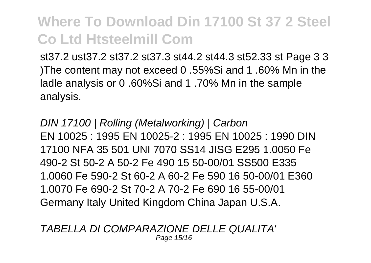st37.2 ust37.2 st37.2 st37.3 st44.2 st44.3 st52.33 st Page 3 3 )The content may not exceed 0 .55%Si and 1 .60% Mn in the ladle analysis or 0 .60%Si and 1 .70% Mn in the sample analysis.

DIN 17100 | Rolling (Metalworking) | Carbon EN 10025 : 1995 EN 10025-2 : 1995 EN 10025 : 1990 DIN 17100 NFA 35 501 UNI 7070 SS14 JISG E295 1.0050 Fe 490-2 St 50-2 A 50-2 Fe 490 15 50-00/01 SS500 E335 1.0060 Fe 590-2 St 60-2 A 60-2 Fe 590 16 50-00/01 E360 1.0070 Fe 690-2 St 70-2 A 70-2 Fe 690 16 55-00/01 Germany Italy United Kingdom China Japan U.S.A.

TABELLA DI COMPARAZIONE DELLE QUALITA' Page 15/16